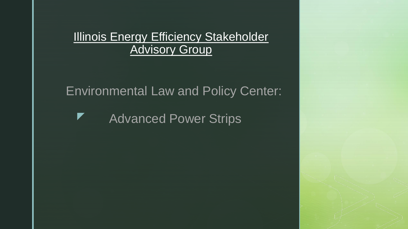#### **Illinois Energy Efficiency Stakeholder** Advisory Group

#### Environmental Law and Policy Center:

z Advanced Power Strips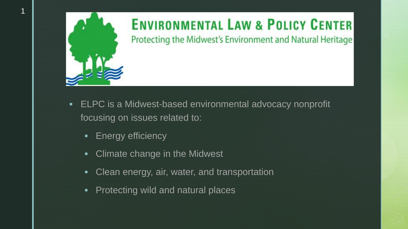

1

# **ENVIRONMENTAL LAW & POLICY CENTER**<br>Protecting the Midwest's Environment and Natural Heritage

- ELPC is a Midwest-based environmental advocacy nonprofit focusing on issues related to:
	- **Energy efficiency**
	- **EXEC** Climate change in the Midwest
	- Clean energy, air, water, and transportation
	- Protecting wild and natural places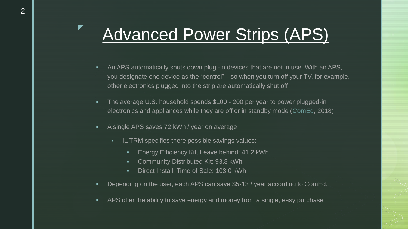### Advanced Power Strips (APS)

- **EXECT** An APS automatically shuts down plug -in devices that are not in use. With an APS, you designate one device as the "control"—so when you turn off your TV, for example, other electronics plugged into the strip are automatically shut off
- The average U.S. household spends \$100 200 per year to power plugged-in electronics and appliances while they are off or in standby mode ([ComEd](https://www.comed.com/News/Pages/NewsReleases/2018_10_29.aspx), 2018)
- A single APS saves 72 kWh / year on average
	- **EXECT:** IL TRM specifies there possible savings values:
		- **E** Energy Efficiency Kit, Leave behind: 41.2 kWh
		- **Community Distributed Kit: 93.8 kWh**
		- Direct Install, Time of Sale: 103.0 kWh
- **Depending on the user, each APS can save \$5-13 / year according to ComEd.**
- **EXPED 5** APS offer the ability to save energy and money from a single, easy purchase

z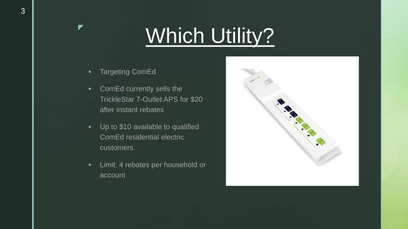### **z Musical Utility?**

- **Targeting ComEd**
- ComEd currently sells the TrickleStar 7-Outlet APS for \$20 after instant rebates
- Up to \$10 available to qualified ComEd residential electric customers.
- **EXEC** Limit: 4 rebates per household or account

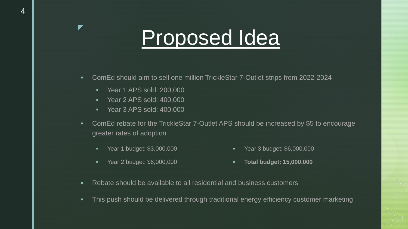### Proposed Idea

- ComEd should aim to sell one million TrickleStar 7-Outlet strips from 2022-2024
	- Year 1 APS sold: 200,000
	- Year 2 APS sold: 400,000
	- Year 3 APS sold: 400,000
- ComEd rebate for the TrickleStar 7-Outlet APS should be increased by \$5 to encourage greater rates of adoption
	- Year 1 budget: \$3,000,000

▪ Year 3 budget: \$6,000,000

▪ Year 2 budget: \$6,000,000

- **Total budget: 15,000,000**
- Rebate should be available to all residential and business customers
- **•** This push should be delivered through traditional energy efficiency customer marketing

z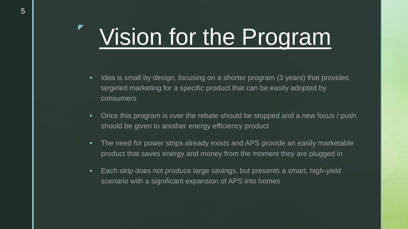#### z Vision for the Program

- Idea is small by design, focusing on a shorter program (3 years) that provides targeted marketing for a specific product that can be easily adopted by consumers
- Once this program is over the rebate should be stopped and a new focus / push should be given to another energy efficiency product
- The need for power strips already exists and APS provide an easily marketable product that saves energy and money from the moment they are plugged in
- Each strip does not produce large savings, but presents a smart, high-yield scenario with a significant expansion of APS into homes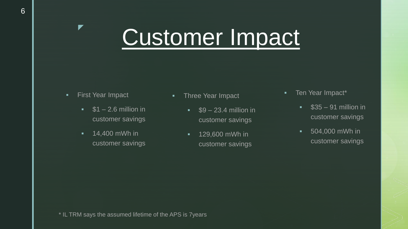## Customer Impact

▪ First Year Impact

z

- $\textdegree$  \$1 2.6 million in customer savings
- 14,400 mWh in customer savings
- **·** Three Year Impact
	- $\bullet$  \$9 23.4 million in customer savings
	- 129,600 mWh in customer savings
- **•** Ten Year Impact\*
	- $\textdegree$  \$35 91 million in customer savings
	- 504,000 mWh in customer savings

\* IL TRM says the assumed lifetime of the APS is 7years